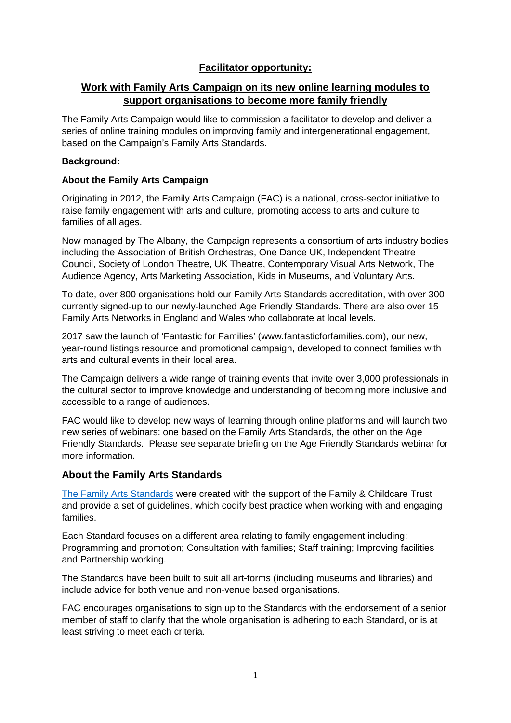# **Facilitator opportunity:**

# **Work with Family Arts Campaign on its new online learning modules to support organisations to become more family friendly**

The Family Arts Campaign would like to commission a facilitator to develop and deliver a series of online training modules on improving family and intergenerational engagement, based on the Campaign's Family Arts Standards.

### **Background:**

### **About the Family Arts Campaign**

Originating in 2012, the Family Arts Campaign (FAC) is a national, cross-sector initiative to raise family engagement with arts and culture, promoting access to arts and culture to families of all ages.

Now managed by The Albany, the Campaign represents a consortium of arts industry bodies including the Association of British Orchestras, One Dance UK, Independent Theatre Council, Society of London Theatre, UK Theatre, Contemporary Visual Arts Network, The Audience Agency, Arts Marketing Association, Kids in Museums, and Voluntary Arts.

To date, over 800 organisations hold our Family Arts Standards accreditation, with over 300 currently signed-up to our newly-launched Age Friendly Standards. There are also over 15 Family Arts Networks in England and Wales who collaborate at local levels.

2017 saw the launch of 'Fantastic for Families' (www.fantasticforfamilies.com), our new, year-round listings resource and promotional campaign, developed to connect families with arts and cultural events in their local area.

The Campaign delivers a wide range of training events that invite over 3,000 professionals in the cultural sector to improve knowledge and understanding of becoming more inclusive and accessible to a range of audiences.

FAC would like to develop new ways of learning through online platforms and will launch two new series of webinars: one based on the Family Arts Standards, the other on the Age Friendly Standards. Please see separate briefing on the Age Friendly Standards webinar for more information.

## **About the Family Arts Standards**

[The Family Arts Standards](https://www.familyarts.co.uk/wp-content/uploads/2019/08/Family-Arts-Standards-2019.pdf) were created with the support of the Family & Childcare Trust and provide a set of guidelines, which codify best practice when working with and engaging families.

Each Standard focuses on a different area relating to family engagement including: Programming and promotion; Consultation with families; Staff training; Improving facilities and Partnership working.

The Standards have been built to suit all art-forms (including museums and libraries) and include advice for both venue and non-venue based organisations.

FAC encourages organisations to sign up to the Standards with the endorsement of a senior member of staff to clarify that the whole organisation is adhering to each Standard, or is at least striving to meet each criteria.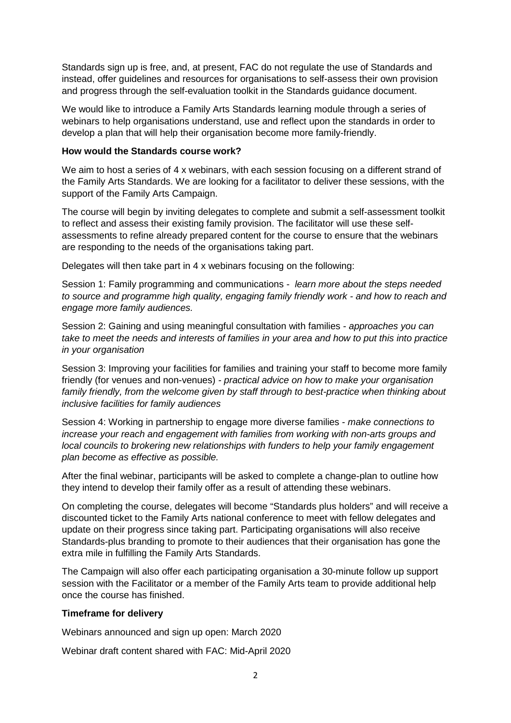Standards sign up is free, and, at present, FAC do not regulate the use of Standards and instead, offer guidelines and resources for organisations to self-assess their own provision and progress through the self-evaluation toolkit in the Standards guidance document.

We would like to introduce a Family Arts Standards learning module through a series of webinars to help organisations understand, use and reflect upon the standards in order to develop a plan that will help their organisation become more family-friendly.

### **How would the Standards course work?**

We aim to host a series of 4 x webinars, with each session focusing on a different strand of the Family Arts Standards. We are looking for a facilitator to deliver these sessions, with the support of the Family Arts Campaign.

The course will begin by inviting delegates to complete and submit a self-assessment toolkit to reflect and assess their existing family provision. The facilitator will use these selfassessments to refine already prepared content for the course to ensure that the webinars are responding to the needs of the organisations taking part.

Delegates will then take part in 4 x webinars focusing on the following:

Session 1: Family programming and communications - *learn more about the steps needed to source and programme high quality, engaging family friendly work - and how to reach and engage more family audiences.* 

Session 2: Gaining and using meaningful consultation with families *- approaches you can take to meet the needs and interests of families in your area and how to put this into practice in your organisation* 

Session 3: Improving your facilities for families and training your staff to become more family friendly (for venues and non-venues) *- practical advice on how to make your organisation family friendly, from the welcome given by staff through to best-practice when thinking about inclusive facilities for family audiences* 

Session 4: Working in partnership to engage more diverse families - *make connections to increase your reach and engagement with families from working with non-arts groups and local councils to brokering new relationships with funders to help your family engagement plan become as effective as possible.* 

After the final webinar, participants will be asked to complete a change-plan to outline how they intend to develop their family offer as a result of attending these webinars.

On completing the course, delegates will become "Standards plus holders" and will receive a discounted ticket to the Family Arts national conference to meet with fellow delegates and update on their progress since taking part. Participating organisations will also receive Standards-plus branding to promote to their audiences that their organisation has gone the extra mile in fulfilling the Family Arts Standards.

The Campaign will also offer each participating organisation a 30-minute follow up support session with the Facilitator or a member of the Family Arts team to provide additional help once the course has finished.

### **Timeframe for delivery**

Webinars announced and sign up open: March 2020

Webinar draft content shared with FAC: Mid-April 2020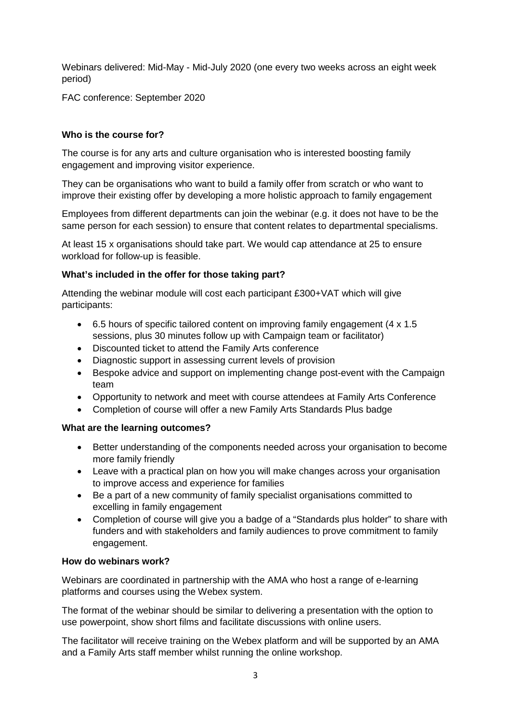Webinars delivered: Mid-May - Mid-July 2020 (one every two weeks across an eight week period)

FAC conference: September 2020

### **Who is the course for?**

The course is for any arts and culture organisation who is interested boosting family engagement and improving visitor experience.

They can be organisations who want to build a family offer from scratch or who want to improve their existing offer by developing a more holistic approach to family engagement

Employees from different departments can join the webinar (e.g. it does not have to be the same person for each session) to ensure that content relates to departmental specialisms.

At least 15 x organisations should take part. We would cap attendance at 25 to ensure workload for follow-up is feasible.

#### **What's included in the offer for those taking part?**

Attending the webinar module will cost each participant £300+VAT which will give participants:

- 6.5 hours of specific tailored content on improving family engagement (4 x 1.5 sessions, plus 30 minutes follow up with Campaign team or facilitator)
- Discounted ticket to attend the Family Arts conference
- Diagnostic support in assessing current levels of provision
- Bespoke advice and support on implementing change post-event with the Campaign team
- Opportunity to network and meet with course attendees at Family Arts Conference
- Completion of course will offer a new Family Arts Standards Plus badge

#### **What are the learning outcomes?**

- Better understanding of the components needed across your organisation to become more family friendly
- Leave with a practical plan on how you will make changes across your organisation to improve access and experience for families
- Be a part of a new community of family specialist organisations committed to excelling in family engagement
- Completion of course will give you a badge of a "Standards plus holder" to share with funders and with stakeholders and family audiences to prove commitment to family engagement.

#### **How do webinars work?**

Webinars are coordinated in partnership with the AMA who host a range of e-learning platforms and courses using the Webex system.

The format of the webinar should be similar to delivering a presentation with the option to use powerpoint, show short films and facilitate discussions with online users.

The facilitator will receive training on the Webex platform and will be supported by an AMA and a Family Arts staff member whilst running the online workshop.